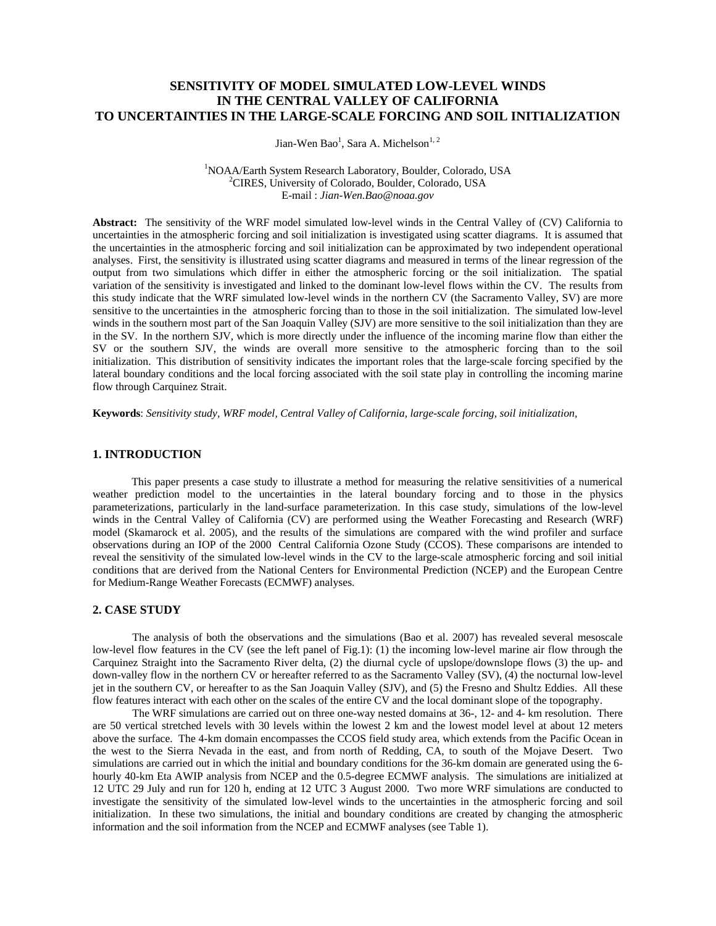# **SENSITIVITY OF MODEL SIMULATED LOW-LEVEL WINDS IN THE CENTRAL VALLEY OF CALIFORNIA TO UNCERTAINTIES IN THE LARGE-SCALE FORCING AND SOIL INITIALIZATION**

Jian-Wen Bao<sup>1</sup>, Sara A. Michelson<sup>1, 2</sup>

 $\frac{1}{1}$ NOA A (Earth System Basearab Labe NOAA/Earth System Research Laboratory, Boulder, Colorado, USA 2 <sup>2</sup>CIRES, University of Colorado, Boulder, Colorado, USA E-mail : *Jian-Wen.Bao@noaa.gov* 

**Abstract:** The sensitivity of the WRF model simulated low-level winds in the Central Valley of (CV) California to uncertainties in the atmospheric forcing and soil initialization is investigated using scatter diagrams. It is assumed that the uncertainties in the atmospheric forcing and soil initialization can be approximated by two independent operational analyses. First, the sensitivity is illustrated using scatter diagrams and measured in terms of the linear regression of the output from two simulations which differ in either the atmospheric forcing or the soil initialization. The spatial variation of the sensitivity is investigated and linked to the dominant low-level flows within the CV. The results from this study indicate that the WRF simulated low-level winds in the northern CV (the Sacramento Valley, SV) are more sensitive to the uncertainties in the atmospheric forcing than to those in the soil initialization. The simulated low-level winds in the southern most part of the San Joaquin Valley (SJV) are more sensitive to the soil initialization than they are in the SV. In the northern SJV, which is more directly under the influence of the incoming marine flow than either the SV or the southern SJV, the winds are overall more sensitive to the atmospheric forcing than to the soil initialization. This distribution of sensitivity indicates the important roles that the large-scale forcing specified by the lateral boundary conditions and the local forcing associated with the soil state play in controlling the incoming marine flow through Carquinez Strait.

**Keywords**: *Sensitivity study, WRF model, Central Valley of California, large-scale forcing, soil initialization,* 

## **1. INTRODUCTION**

 This paper presents a case study to illustrate a method for measuring the relative sensitivities of a numerical weather prediction model to the uncertainties in the lateral boundary forcing and to those in the physics parameterizations, particularly in the land-surface parameterization. In this case study, simulations of the low-level winds in the Central Valley of California (CV) are performed using the Weather Forecasting and Research (WRF) model (Skamarock et al. 2005), and the results of the simulations are compared with the wind profiler and surface observations during an IOP of the 2000 Central California Ozone Study (CCOS). These comparisons are intended to reveal the sensitivity of the simulated low-level winds in the CV to the large-scale atmospheric forcing and soil initial conditions that are derived from the National Centers for Environmental Prediction (NCEP) and the European Centre for Medium-Range Weather Forecasts (ECMWF) analyses.

### **2. CASE STUDY**

The analysis of both the observations and the simulations (Bao et al. 2007) has revealed several mesoscale low-level flow features in the CV (see the left panel of Fig.1): (1) the incoming low-level marine air flow through the Carquinez Straight into the Sacramento River delta, (2) the diurnal cycle of upslope/downslope flows (3) the up- and down-valley flow in the northern CV or hereafter referred to as the Sacramento Valley (SV), (4) the nocturnal low-level jet in the southern CV, or hereafter to as the San Joaquin Valley (SJV), and (5) the Fresno and Shultz Eddies. All these flow features interact with each other on the scales of the entire CV and the local dominant slope of the topography.

The WRF simulations are carried out on three one-way nested domains at 36-, 12- and 4- km resolution. There are 50 vertical stretched levels with 30 levels within the lowest 2 km and the lowest model level at about 12 meters above the surface. The 4-km domain encompasses the CCOS field study area, which extends from the Pacific Ocean in the west to the Sierra Nevada in the east, and from north of Redding, CA, to south of the Mojave Desert. Two simulations are carried out in which the initial and boundary conditions for the 36-km domain are generated using the 6 hourly 40-km Eta AWIP analysis from NCEP and the 0.5-degree ECMWF analysis. The simulations are initialized at 12 UTC 29 July and run for 120 h, ending at 12 UTC 3 August 2000. Two more WRF simulations are conducted to investigate the sensitivity of the simulated low-level winds to the uncertainties in the atmospheric forcing and soil initialization. In these two simulations, the initial and boundary conditions are created by changing the atmospheric information and the soil information from the NCEP and ECMWF analyses (see Table 1).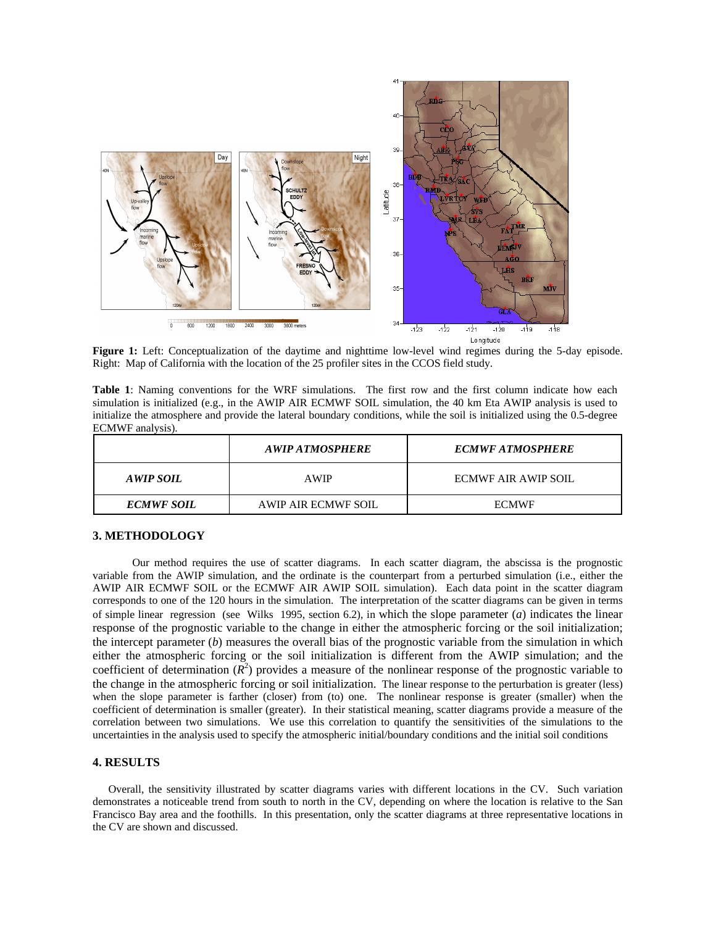

**Figure 1:** Left: Conceptualization of the daytime and nighttime low-level wind regimes during the 5-day episode. Right: Map of California with the location of the 25 profiler sites in the CCOS field study*.*

Table 1: Naming conventions for the WRF simulations. The first row and the first column indicate how each simulation is initialized (e.g., in the AWIP AIR ECMWF SOIL simulation, the 40 km Eta AWIP analysis is used to initialize the atmosphere and provide the lateral boundary conditions, while the soil is initialized using the 0.5-degree ECMWF analysis).

|                   | A WIP A TMOSPHERE   | <b>ECMWF ATMOSPHERE</b> |
|-------------------|---------------------|-------------------------|
| AWIP SOIL         | <b>AWIP</b>         | ECMWF AIR AWIP SOIL     |
| <b>ECMWF SOIL</b> | AWIP AIR ECMWF SOIL | <b>ECMWF</b>            |

## **3. METHODOLOGY**

Our method requires the use of scatter diagrams. In each scatter diagram, the abscissa is the prognostic variable from the AWIP simulation, and the ordinate is the counterpart from a perturbed simulation (i.e., either the AWIP AIR ECMWF SOIL or the ECMWF AIR AWIP SOIL simulation). Each data point in the scatter diagram corresponds to one of the 120 hours in the simulation. The interpretation of the scatter diagrams can be given in terms of simple linear regression (see Wilks 1995, section 6.2), in which the slope parameter (*a*) indicates the linear response of the prognostic variable to the change in either the atmospheric forcing or the soil initialization; the intercept parameter (*b*) measures the overall bias of the prognostic variable from the simulation in which either the atmospheric forcing or the soil initialization is different from the AWIP simulation; and the coefficient of determination  $(R^2)$  provides a measure of the nonlinear response of the prognostic variable to the change in the atmospheric forcing or soil initialization. The linear response to the perturbation is greater (less) when the slope parameter is farther (closer) from (to) one. The nonlinear response is greater (smaller) when the coefficient of determination is smaller (greater). In their statistical meaning, scatter diagrams provide a measure of the correlation between two simulations. We use this correlation to quantify the sensitivities of the simulations to the uncertainties in the analysis used to specify the atmospheric initial/boundary conditions and the initial soil conditions

### **4. RESULTS**

Overall, the sensitivity illustrated by scatter diagrams varies with different locations in the CV. Such variation demonstrates a noticeable trend from south to north in the CV, depending on where the location is relative to the San Francisco Bay area and the foothills. In this presentation, only the scatter diagrams at three representative locations in the CV are shown and discussed.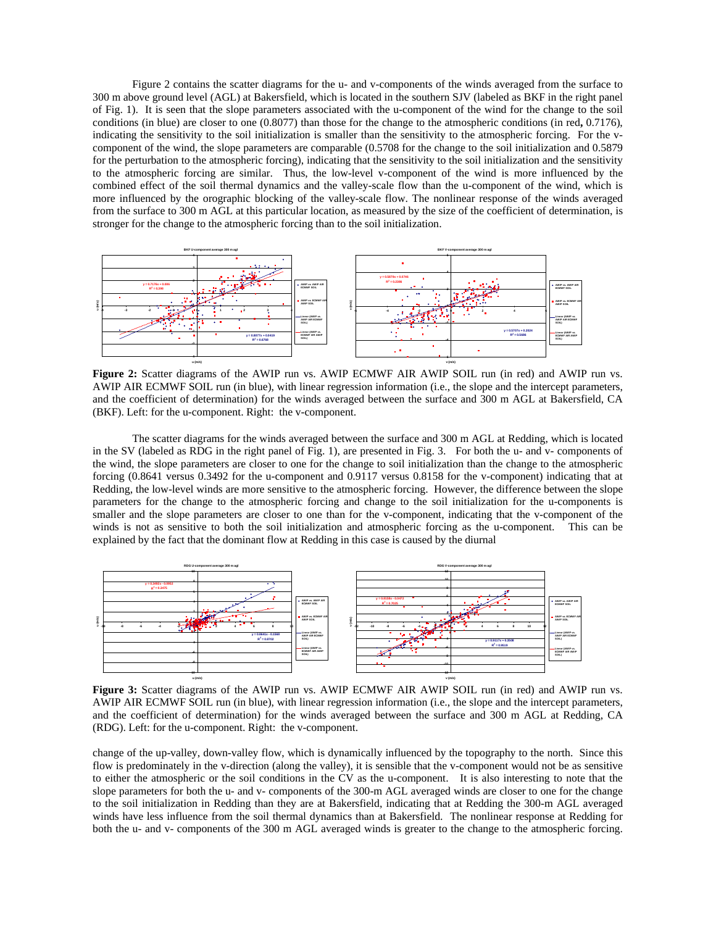Figure 2 contains the scatter diagrams for the u- and v-components of the winds averaged from the surface to 300 m above ground level (AGL) at Bakersfield, which is located in the southern SJV (labeled as BKF in the right panel of Fig. 1). It is seen that the slope parameters associated with the u-component of the wind for the change to the soil conditions (in blue) are closer to one (0.8077) than those for the change to the atmospheric conditions (in red**,** 0.7176), indicating the sensitivity to the soil initialization is smaller than the sensitivity to the atmospheric forcing. For the vcomponent of the wind, the slope parameters are comparable (0.5708 for the change to the soil initialization and 0.5879 for the perturbation to the atmospheric forcing), indicating that the sensitivity to the soil initialization and the sensitivity to the atmospheric forcing are similar. Thus, the low-level v-component of the wind is more influenced by the combined effect of the soil thermal dynamics and the valley-scale flow than the u-component of the wind, which is more influenced by the orographic blocking of the valley-scale flow. The nonlinear response of the winds averaged from the surface to 300 m AGL at this particular location, as measured by the size of the coefficient of determination, is stronger for the change to the atmospheric forcing than to the soil initialization.



Figure 2: Scatter diagrams of the AWIP run vs. AWIP ECMWF AIR AWIP SOIL run (in red) and AWIP run vs. AWIP AIR ECMWF SOIL run (in blue), with linear regression information (i.e., the slope and the intercept parameters, and the coefficient of determination) for the winds averaged between the surface and 300 m AGL at Bakersfield, CA (BKF). Left: for the u-component. Right: the v-component.

The scatter diagrams for the winds averaged between the surface and 300 m AGL at Redding, which is located in the SV (labeled as RDG in the right panel of Fig. 1), are presented in Fig. 3. For both the u- and v- components of the wind, the slope parameters are closer to one for the change to soil initialization than the change to the atmospheric forcing (0.8641 versus 0.3492 for the u-component and 0.9117 versus 0.8158 for the v-component) indicating that at Redding, the low-level winds are more sensitive to the atmospheric forcing. However, the difference between the slope parameters for the change to the atmospheric forcing and change to the soil initialization for the u-components is smaller and the slope parameters are closer to one than for the v-component, indicating that the v-component of the winds is not as sensitive to both the soil initialization and atmospheric forcing as the u-component. This can be explained by the fact that the dominant flow at Redding in this case is caused by the diurnal



Figure 3: Scatter diagrams of the AWIP run vs. AWIP ECMWF AIR AWIP SOIL run (in red) and AWIP run vs. AWIP AIR ECMWF SOIL run (in blue), with linear regression information (i.e., the slope and the intercept parameters, and the coefficient of determination) for the winds averaged between the surface and 300 m AGL at Redding, CA (RDG). Left: for the u-component. Right: the v-component.

change of the up-valley, down-valley flow, which is dynamically influenced by the topography to the north. Since this flow is predominately in the v-direction (along the valley), it is sensible that the v-component would not be as sensitive to either the atmospheric or the soil conditions in the CV as the u-component. It is also interesting to note that the slope parameters for both the u- and v- components of the 300-m AGL averaged winds are closer to one for the change to the soil initialization in Redding than they are at Bakersfield, indicating that at Redding the 300-m AGL averaged winds have less influence from the soil thermal dynamics than at Bakersfield. The nonlinear response at Redding for both the u- and v- components of the 300 m AGL averaged winds is greater to the change to the atmospheric forcing.